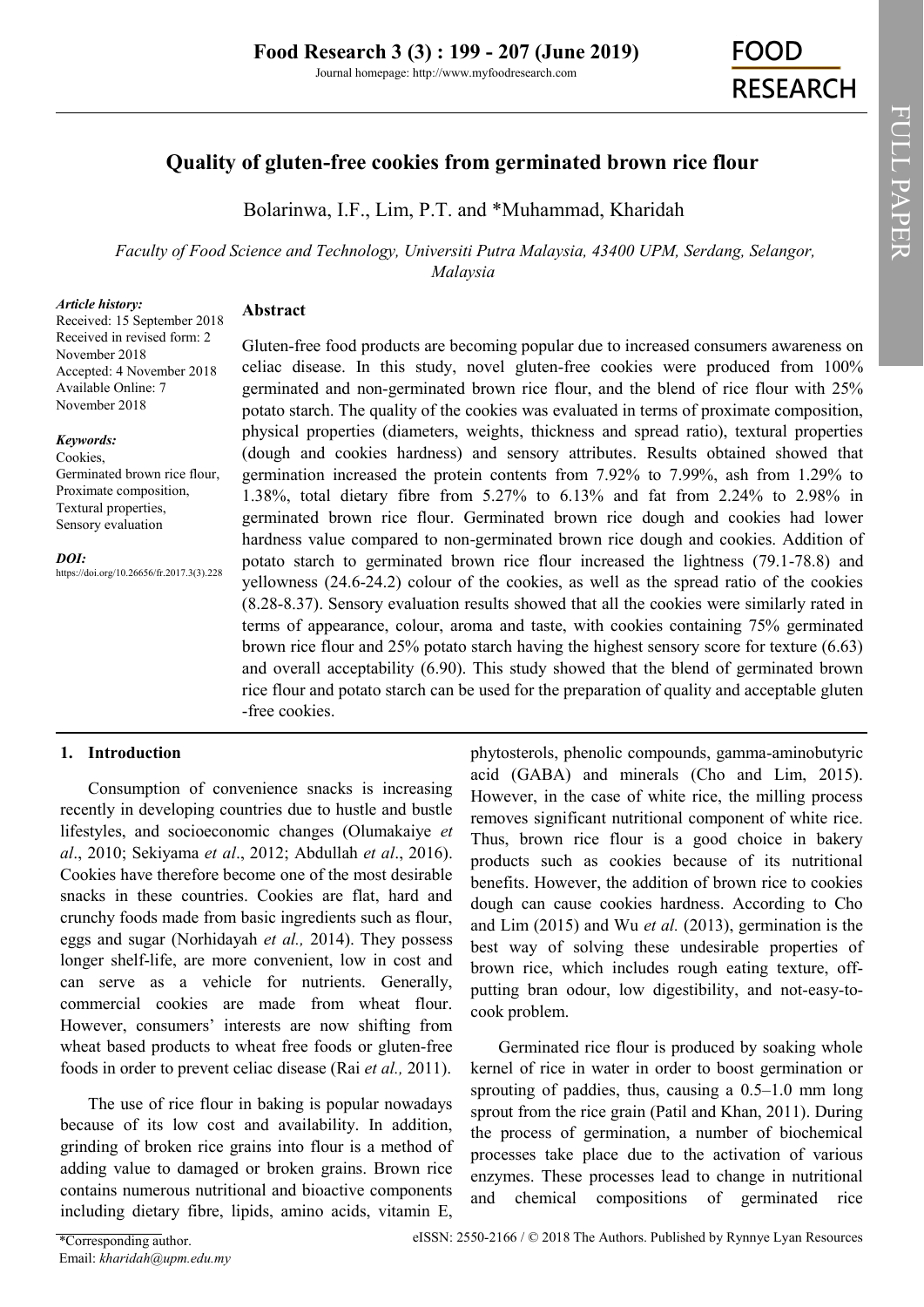# **Quality of gluten-free cookies from germinated brown rice flour**

Bolarinwa, I.F., Lim, P.T. and \*Muhammad, Kharidah

*Faculty of Food Science and Technology, Universiti Putra Malaysia, 43400 UPM, Serdang, Selangor, Malaysia*

#### *Article history:*

Received: 15 September 2018 Received in revised form: 2 November 2018 Accepted: 4 November 2018 Available Online: 7 November 2018

#### *Keywords:*

Cookies, Germinated brown rice flour, Proximate composition, Textural properties, Sensory evaluation

*DOI:*

https://doi.org/10.26656/fr.2017.3(3).228

Gluten-free food products are becoming popular due to increased consumers awareness on celiac disease. In this study, novel gluten-free cookies were produced from 100% germinated and non-germinated brown rice flour, and the blend of rice flour with 25% potato starch. The quality of the cookies was evaluated in terms of proximate composition, physical properties (diameters, weights, thickness and spread ratio), textural properties (dough and cookies hardness) and sensory attributes. Results obtained showed that germination increased the protein contents from 7.92% to 7.99%, ash from 1.29% to 1.38%, total dietary fibre from 5.27% to 6.13% and fat from 2.24% to 2.98% in germinated brown rice flour. Germinated brown rice dough and cookies had lower hardness value compared to non-germinated brown rice dough and cookies. Addition of potato starch to germinated brown rice flour increased the lightness (79.1-78.8) and yellowness (24.6-24.2) colour of the cookies, as well as the spread ratio of the cookies (8.28-8.37). Sensory evaluation results showed that all the cookies were similarly rated in terms of appearance, colour, aroma and taste, with cookies containing 75% germinated brown rice flour and 25% potato starch having the highest sensory score for texture (6.63) and overall acceptability (6.90). This study showed that the blend of germinated brown rice flour and potato starch can be used for the preparation of quality and acceptable gluten -free cookies.

### **1. Introduction**

Consumption of convenience snacks is increasing recently in developing countries due to hustle and bustle lifestyles, and socioeconomic changes (Olumakaiye *et al*., 2010; Sekiyama *et al*., 2012; Abdullah *et al*., 2016). Cookies have therefore become one of the most desirable snacks in these countries. Cookies are flat, hard and crunchy foods made from basic ingredients such as flour, eggs and sugar (Norhidayah *et al.,* 2014). They possess longer shelf-life, are more convenient, low in cost and can serve as a vehicle for nutrients. Generally, commercial cookies are made from wheat flour. However, consumers' interests are now shifting from wheat based products to wheat free foods or gluten-free foods in order to prevent celiac disease (Rai *et al.,* 2011).

**Abstract**

The use of rice flour in baking is popular nowadays because of its low cost and availability. In addition, grinding of broken rice grains into flour is a method of adding value to damaged or broken grains. Brown rice contains numerous nutritional and bioactive components including dietary fibre, lipids, amino acids, vitamin E,

phytosterols, phenolic compounds, gamma-aminobutyric acid (GABA) and minerals (Cho and Lim, 2015). However, in the case of white rice, the milling process removes significant nutritional component of white rice. Thus, brown rice flour is a good choice in bakery products such as cookies because of its nutritional benefits. However, the addition of brown rice to cookies dough can cause cookies hardness. According to Cho and Lim (2015) and Wu *et al.* (2013), germination is the best way of solving these undesirable properties of brown rice, which includes rough eating texture, offputting bran odour, low digestibility, and not-easy-tocook problem.

Germinated rice flour is produced by soaking whole kernel of rice in water in order to boost germination or sprouting of paddies, thus, causing a 0.5–1.0 mm long sprout from the rice grain (Patil and Khan, 2011). During the process of germination, a number of biochemical processes take place due to the activation of various enzymes. These processes lead to change in nutritional and chemical compositions of germinated rice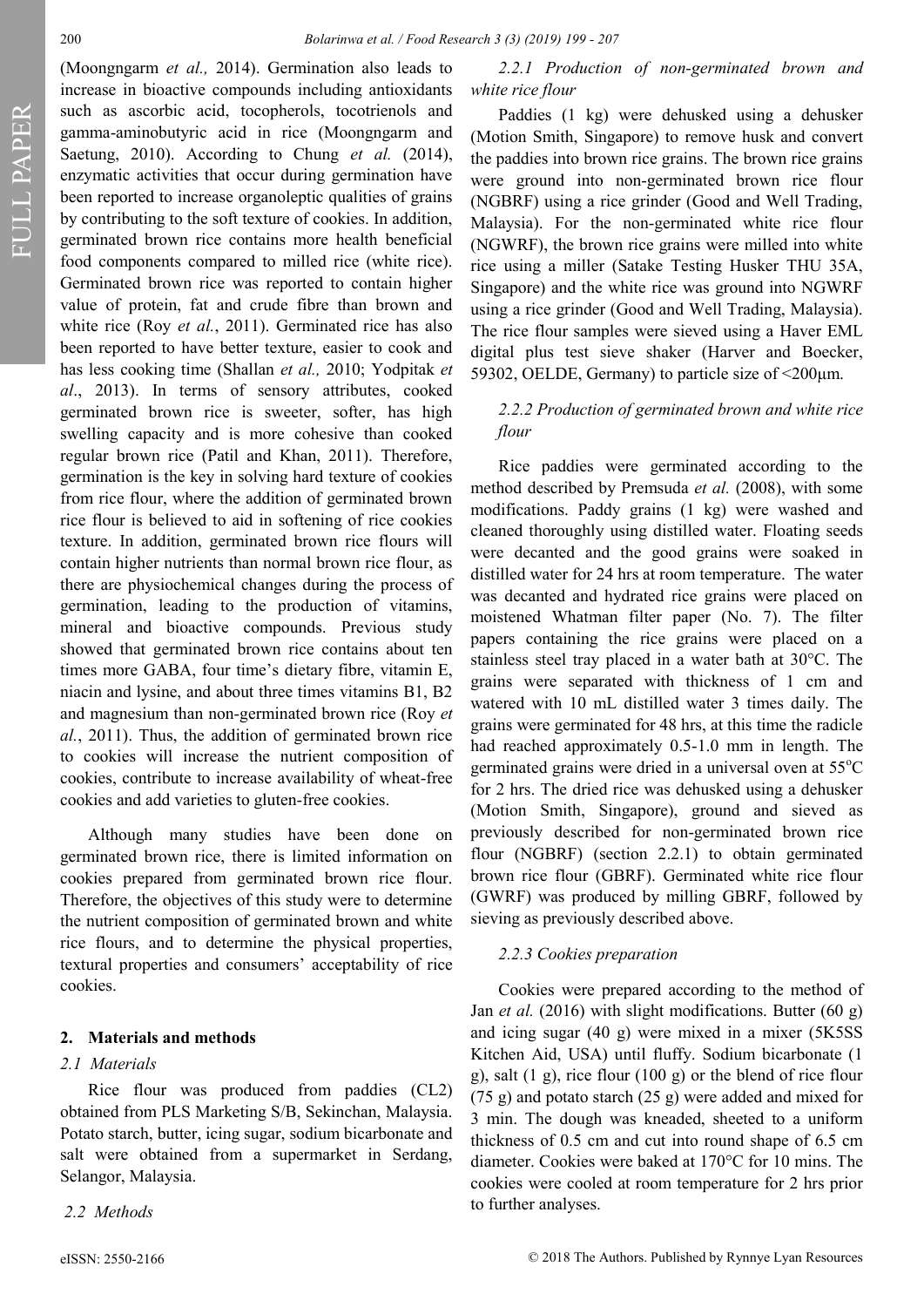FULL PAPER FULL PAPER

(Moongngarm *et al.,* 2014). Germination also leads to increase in bioactive compounds including antioxidants such as ascorbic acid, tocopherols, tocotrienols and gamma-aminobutyric acid in rice (Moongngarm and Saetung, 2010). According to Chung *et al.* (2014), enzymatic activities that occur during germination have been reported to increase organoleptic qualities of grains by contributing to the soft texture of cookies. In addition, germinated brown rice contains more health beneficial food components compared to milled rice (white rice). Germinated brown rice was reported to contain higher value of protein, fat and crude fibre than brown and white rice (Roy *et al.*, 2011). Germinated rice has also been reported to have better texture, easier to cook and has less cooking time (Shallan *et al.,* 2010; Yodpitak *et al*., 2013). In terms of sensory attributes, cooked germinated brown rice is sweeter, softer, has high swelling capacity and is more cohesive than cooked regular brown rice (Patil and Khan, 2011). Therefore, germination is the key in solving hard texture of cookies from rice flour, where the addition of germinated brown rice flour is believed to aid in softening of rice cookies texture. In addition, germinated brown rice flours will contain higher nutrients than normal brown rice flour, as there are physiochemical changes during the process of germination, leading to the production of vitamins, mineral and bioactive compounds. Previous study showed that germinated brown rice contains about ten times more GABA, four time's dietary fibre, vitamin E, niacin and lysine, and about three times vitamins B1, B2 and magnesium than non-germinated brown rice (Roy *et al.*, 2011). Thus, the addition of germinated brown rice to cookies will increase the nutrient composition of cookies, contribute to increase availability of wheat-free cookies and add varieties to gluten-free cookies.

Although many studies have been done on germinated brown rice, there is limited information on cookies prepared from germinated brown rice flour. Therefore, the objectives of this study were to determine the nutrient composition of germinated brown and white rice flours, and to determine the physical properties, textural properties and consumers' acceptability of rice cookies.

#### **2. Materials and methods**

### *2.1 Materials*

Rice flour was produced from paddies (CL2) obtained from PLS Marketing S/B, Sekinchan, Malaysia. Potato starch, butter, icing sugar, sodium bicarbonate and salt were obtained from a supermarket in Serdang, Selangor, Malaysia.

*2.2 Methods*

*2.2.1 Production of non-germinated brown and white rice flour*

Paddies (1 kg) were dehusked using a dehusker (Motion Smith, Singapore) to remove husk and convert the paddies into brown rice grains. The brown rice grains were ground into non-germinated brown rice flour (NGBRF) using a rice grinder (Good and Well Trading, Malaysia). For the non-germinated white rice flour (NGWRF), the brown rice grains were milled into white rice using a miller (Satake Testing Husker THU 35A, Singapore) and the white rice was ground into NGWRF using a rice grinder (Good and Well Trading, Malaysia). The rice flour samples were sieved using a Haver EML digital plus test sieve shaker (Harver and Boecker, 59302, OELDE, Germany) to particle size of  $\leq 200 \mu m$ .

### *2.2.2 Production of germinated brown and white rice flour*

Rice paddies were germinated according to the method described by Premsuda *et al.* (2008), with some modifications. Paddy grains (1 kg) were washed and cleaned thoroughly using distilled water. Floating seeds were decanted and the good grains were soaked in distilled water for 24 hrs at room temperature. The water was decanted and hydrated rice grains were placed on moistened Whatman filter paper (No. 7). The filter papers containing the rice grains were placed on a stainless steel tray placed in a water bath at 30°C. The grains were separated with thickness of 1 cm and watered with 10 mL distilled water 3 times daily. The grains were germinated for 48 hrs, at this time the radicle had reached approximately 0.5-1.0 mm in length. The germinated grains were dried in a universal oven at  $55^{\circ}$ C for 2 hrs. The dried rice was dehusked using a dehusker (Motion Smith, Singapore), ground and sieved as previously described for non-germinated brown rice flour (NGBRF) (section 2.2.1) to obtain germinated brown rice flour (GBRF). Germinated white rice flour (GWRF) was produced by milling GBRF, followed by sieving as previously described above.

#### *2.2.3 Cookies preparation*

Cookies were prepared according to the method of Jan *et al.* (2016) with slight modifications. Butter (60 g) and icing sugar (40 g) were mixed in a mixer (5K5SS Kitchen Aid, USA) until fluffy. Sodium bicarbonate (1 g), salt (1 g), rice flour (100 g) or the blend of rice flour (75 g) and potato starch (25 g) were added and mixed for 3 min. The dough was kneaded, sheeted to a uniform thickness of 0.5 cm and cut into round shape of 6.5 cm diameter. Cookies were baked at 170°C for 10 mins. The cookies were cooled at room temperature for 2 hrs prior to further analyses.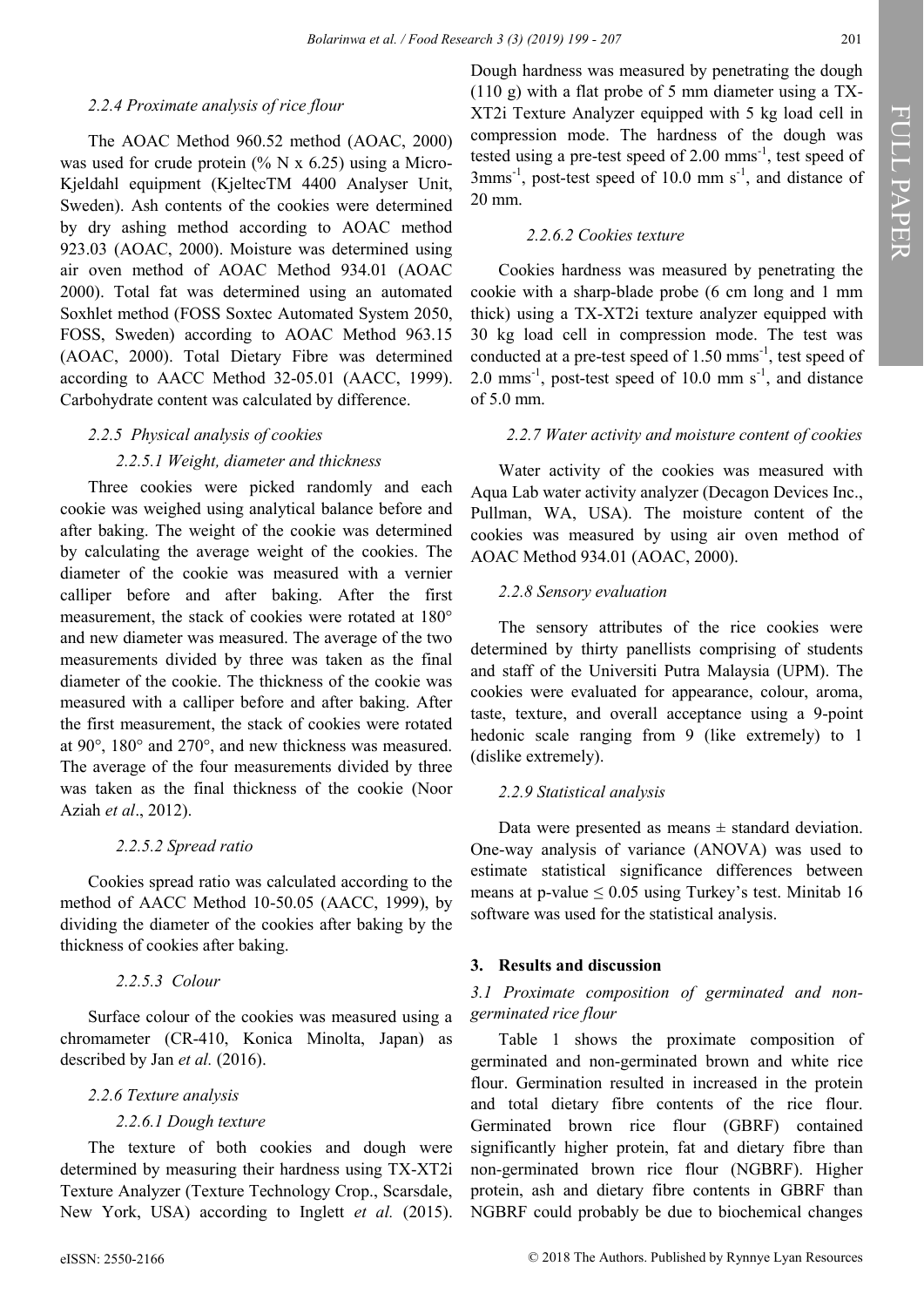## *2.2.4 Proximate analysis of rice flour*

The AOAC Method 960.52 method (AOAC, 2000) was used for crude protein (%  $N \times 6.25$ ) using a Micro-Kjeldahl equipment (KjeltecTM 4400 Analyser Unit, Sweden). Ash contents of the cookies were determined by dry ashing method according to AOAC method 923.03 (AOAC, 2000). Moisture was determined using air oven method of AOAC Method 934.01 (AOAC 2000). Total fat was determined using an automated Soxhlet method (FOSS Soxtec Automated System 2050, FOSS, Sweden) according to AOAC Method 963.15 (AOAC, 2000). Total Dietary Fibre was determined according to AACC Method 32-05.01 (AACC, 1999). Carbohydrate content was calculated by difference.

## *2.2.5 Physical analysis of cookies*

## *2.2.5.1 Weight, diameter and thickness*

Three cookies were picked randomly and each cookie was weighed using analytical balance before and after baking. The weight of the cookie was determined by calculating the average weight of the cookies. The diameter of the cookie was measured with a vernier calliper before and after baking. After the first measurement, the stack of cookies were rotated at 180° and new diameter was measured. The average of the two measurements divided by three was taken as the final diameter of the cookie. The thickness of the cookie was measured with a calliper before and after baking. After the first measurement, the stack of cookies were rotated at 90°, 180° and 270°, and new thickness was measured. The average of the four measurements divided by three was taken as the final thickness of the cookie (Noor Aziah *et al*., 2012).

## *2.2.5.2 Spread ratio*

Cookies spread ratio was calculated according to the method of AACC Method 10-50.05 (AACC, 1999), by dividing the diameter of the cookies after baking by the thickness of cookies after baking.

*2.2.5.3 Colour*

Surface colour of the cookies was measured using a chromameter (CR-410, Konica Minolta, Japan) as described by Jan et al. (2016).

## *2.2.6 Texture analysis*

## *2.2.6.1 Dough texture*

The texture of both cookies and dough were determined by measuring their hardness using TX-XT2i Texture Analyzer (Texture Technology Crop., Scarsdale, New York, USA) according to Inglett et al. (2015).

## *2.2.6.2 Cookies texture*

Cookies hardness was measured by penetrating the cookie with a sharp-blade probe (6 cm long and 1 mm thick) using a TX-XT2i texture analyzer equipped with 30 kg load cell in compression mode. The test was conducted at a pre-test speed of  $1.50$  mms<sup>-1</sup>, test speed of 2.0 mms<sup>-1</sup>, post-test speed of 10.0 mm  $s^{-1}$ , and distance of 5.0 mm.

## *2.2.7 Water activity and moisture content of cookies*

Water activity of the cookies was measured with Aqua Lab water activity analyzer (Decagon Devices Inc., Pullman, WA, USA). The moisture content of the cookies was measured by using air oven method of AOAC Method 934.01 (AOAC, 2000).

## *2.2.8 Sensory evaluation*

The sensory attributes of the rice cookies were determined by thirty panellists comprising of students and staff of the Universiti Putra Malaysia (UPM). The cookies were evaluated for appearance, colour, aroma, taste, texture, and overall acceptance using a 9-point hedonic scale ranging from 9 (like extremely) to 1 (dislike extremely).

## *2.2.9 Statistical analysis*

Data were presented as means  $\pm$  standard deviation. One-way analysis of variance (ANOVA) was used to estimate statistical significance differences between means at p-value  $\leq 0.05$  using Turkey's test. Minitab 16 software was used for the statistical analysis.

## **3. Results and discussion**

## *3.1 Proximate composition of germinated and nongerminated rice flour*

Table 1 shows the proximate composition of germinated and non-germinated brown and white rice flour. Germination resulted in increased in the protein and total dietary fibre contents of the rice flour. Germinated brown rice flour (GBRF) contained significantly higher protein, fat and dietary fibre than non-germinated brown rice flour (NGBRF). Higher protein, ash and dietary fibre contents in GBRF than NGBRF could probably be due to biochemical changes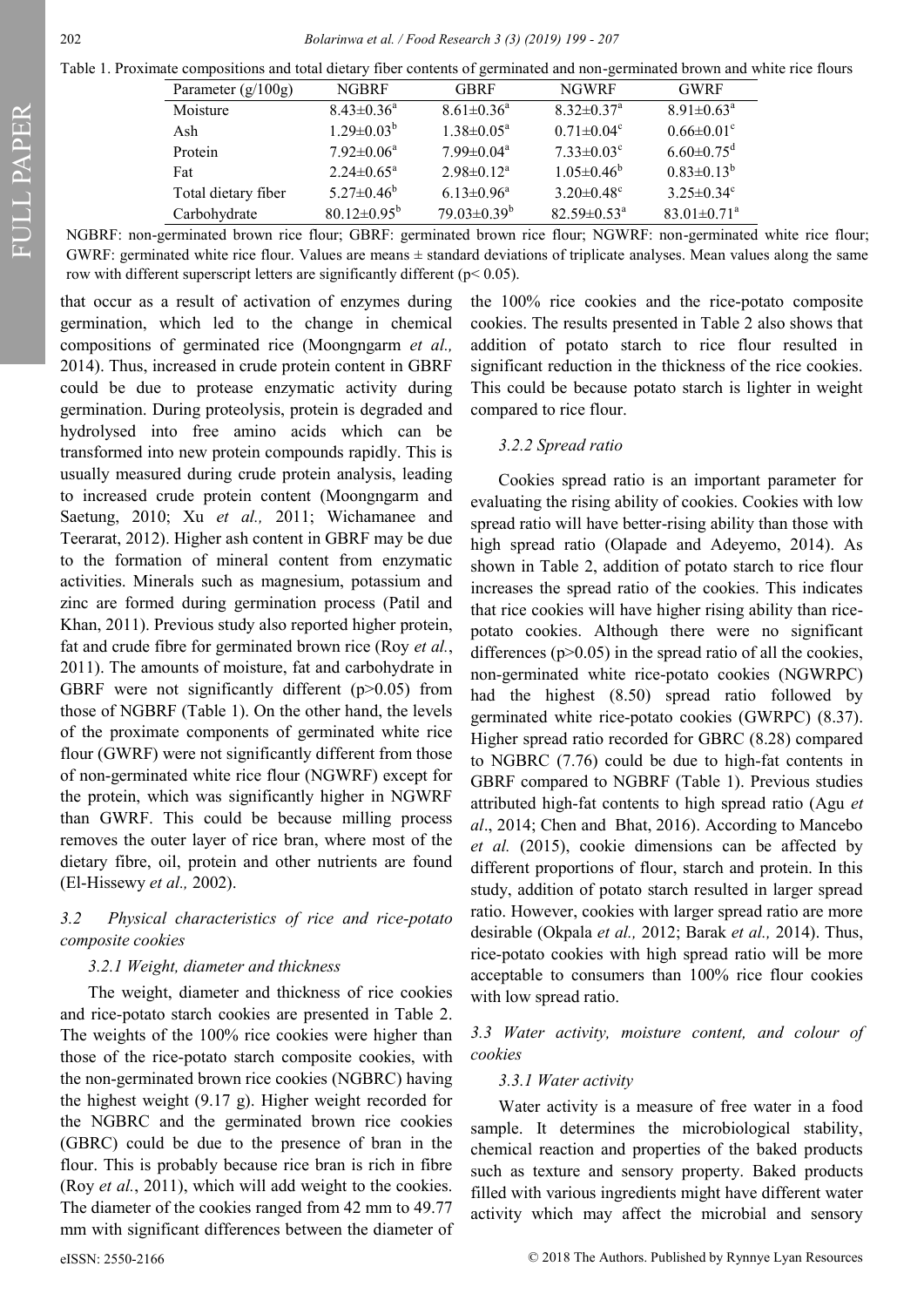FULL PAPER

| Table 1. Proximate compositions and total dietary fiber contents of germinated and non-germinated brown and white rice flours |  |  |  |  |
|-------------------------------------------------------------------------------------------------------------------------------|--|--|--|--|
|-------------------------------------------------------------------------------------------------------------------------------|--|--|--|--|

| Parameter $(g/100g)$ | <b>NGBRF</b>                 | <b>GBRF</b>        | <b>NGWRF</b>                 | <b>GWRF</b>                   |
|----------------------|------------------------------|--------------------|------------------------------|-------------------------------|
| Moisture             | $8.43 \pm 0.36$ <sup>a</sup> | $8.61 \pm 0.36^a$  | $8.32 \pm 0.37$ <sup>a</sup> | $8.91 \pm 0.63^{\text{a}}$    |
| Ash                  | $1.29 \pm 0.03^b$            | $1.38 \pm 0.05^a$  | $0.71 \pm 0.04$ <sup>c</sup> | $0.66 \pm 0.01$ <sup>c</sup>  |
| Protein              | $7.92 \pm 0.06^a$            | $7.99 \pm 0.04^a$  | $7.33 \pm 0.03$ <sup>c</sup> | $6.60 \pm 0.75$ <sup>d</sup>  |
| Fat                  | $2.24 \pm 0.65^{\mathrm{a}}$ | $2.98 \pm 0.12^a$  | $1.05 \pm 0.46^b$            | $0.83 \pm 0.13^b$             |
| Total dietary fiber  | $5.27 \pm 0.46^b$            | $6.13 \pm 0.96^a$  | $3.20 \pm 0.48$ <sup>c</sup> | $3.25 \pm 0.34$ <sup>c</sup>  |
| Carbohydrate         | $80.12 \pm 0.95^{\rm b}$     | $79.03 \pm 0.39^b$ | $82.59 \pm 0.53^{\text{a}}$  | $83.01 \pm 0.71$ <sup>a</sup> |
|                      |                              |                    |                              |                               |

NGBRF: non-germinated brown rice flour; GBRF: germinated brown rice flour; NGWRF: non-germinated white rice flour; GWRF: germinated white rice flour. Values are means  $\pm$  standard deviations of triplicate analyses. Mean values along the same row with different superscript letters are significantly different (p< 0.05).

that occur as a result of activation of enzymes during germination, which led to the change in chemical compositions of germinated rice (Moongngarm *et al.,* 2014). Thus, increased in crude protein content in GBRF could be due to protease enzymatic activity during germination. During proteolysis, protein is degraded and hydrolysed into free amino acids which can be transformed into new protein compounds rapidly. This is usually measured during crude protein analysis, leading to increased crude protein content (Moongngarm and Saetung, 2010; Xu *et al.,* 2011; Wichamanee and Teerarat, 2012). Higher ash content in GBRF may be due to the formation of mineral content from enzymatic activities. Minerals such as magnesium, potassium and zinc are formed during germination process (Patil and Khan, 2011). Previous study also reported higher protein, fat and crude fibre for germinated brown rice (Roy *et al.*, 2011). The amounts of moisture, fat and carbohydrate in GBRF were not significantly different  $(p>0.05)$  from those of NGBRF (Table 1). On the other hand, the levels of the proximate components of germinated white rice flour (GWRF) were not significantly different from those of non-germinated white rice flour (NGWRF) except for the protein, which was significantly higher in NGWRF than GWRF. This could be because milling process removes the outer layer of rice bran, where most of the dietary fibre, oil, protein and other nutrients are found (El-Hissewy *et al.,* 2002).

## *3.2 Physical characteristics of rice and rice-potato composite cookies*

#### *3.2.1 Weight, diameter and thickness*

The weight, diameter and thickness of rice cookies and rice-potato starch cookies are presented in Table 2. The weights of the 100% rice cookies were higher than those of the rice-potato starch composite cookies, with the non-germinated brown rice cookies (NGBRC) having the highest weight (9.17 g). Higher weight recorded for the NGBRC and the germinated brown rice cookies (GBRC) could be due to the presence of bran in the flour. This is probably because rice bran is rich in fibre (Roy *et al.*, 2011), which will add weight to the cookies. The diameter of the cookies ranged from 42 mm to 49.77 mm with significant differences between the diameter of

the 100% rice cookies and the rice-potato composite cookies. The results presented in Table 2 also shows that addition of potato starch to rice flour resulted in significant reduction in the thickness of the rice cookies. This could be because potato starch is lighter in weight compared to rice flour.

### *3.2.2 Spread ratio*

Cookies spread ratio is an important parameter for evaluating the rising ability of cookies. Cookies with low spread ratio will have better-rising ability than those with high spread ratio (Olapade and Adeyemo, 2014). As shown in Table 2, addition of potato starch to rice flour increases the spread ratio of the cookies. This indicates that rice cookies will have higher rising ability than ricepotato cookies. Although there were no significant differences  $(p>0.05)$  in the spread ratio of all the cookies, non-germinated white rice-potato cookies (NGWRPC) had the highest (8.50) spread ratio followed by germinated white rice-potato cookies (GWRPC) (8.37). Higher spread ratio recorded for GBRC (8.28) compared to NGBRC (7.76) could be due to high-fat contents in GBRF compared to NGBRF (Table 1). Previous studies attributed high-fat contents to high spread ratio (Agu *et al*., 2014; Chen and Bhat, 2016). According to Mancebo *et al.* (2015), cookie dimensions can be affected by different proportions of flour, starch and protein. In this study, addition of potato starch resulted in larger spread ratio. However, cookies with larger spread ratio are more desirable (Okpala *et al.,* 2012; Barak *et al.,* 2014). Thus, rice-potato cookies with high spread ratio will be more acceptable to consumers than 100% rice flour cookies with low spread ratio.

## *3.3 Water activity, moisture content, and colour of cookies*

#### *3.3.1 Water activity*

Water activity is a measure of free water in a food sample. It determines the microbiological stability, chemical reaction and properties of the baked products such as texture and sensory property. Baked products filled with various ingredients might have different water activity which may affect the microbial and sensory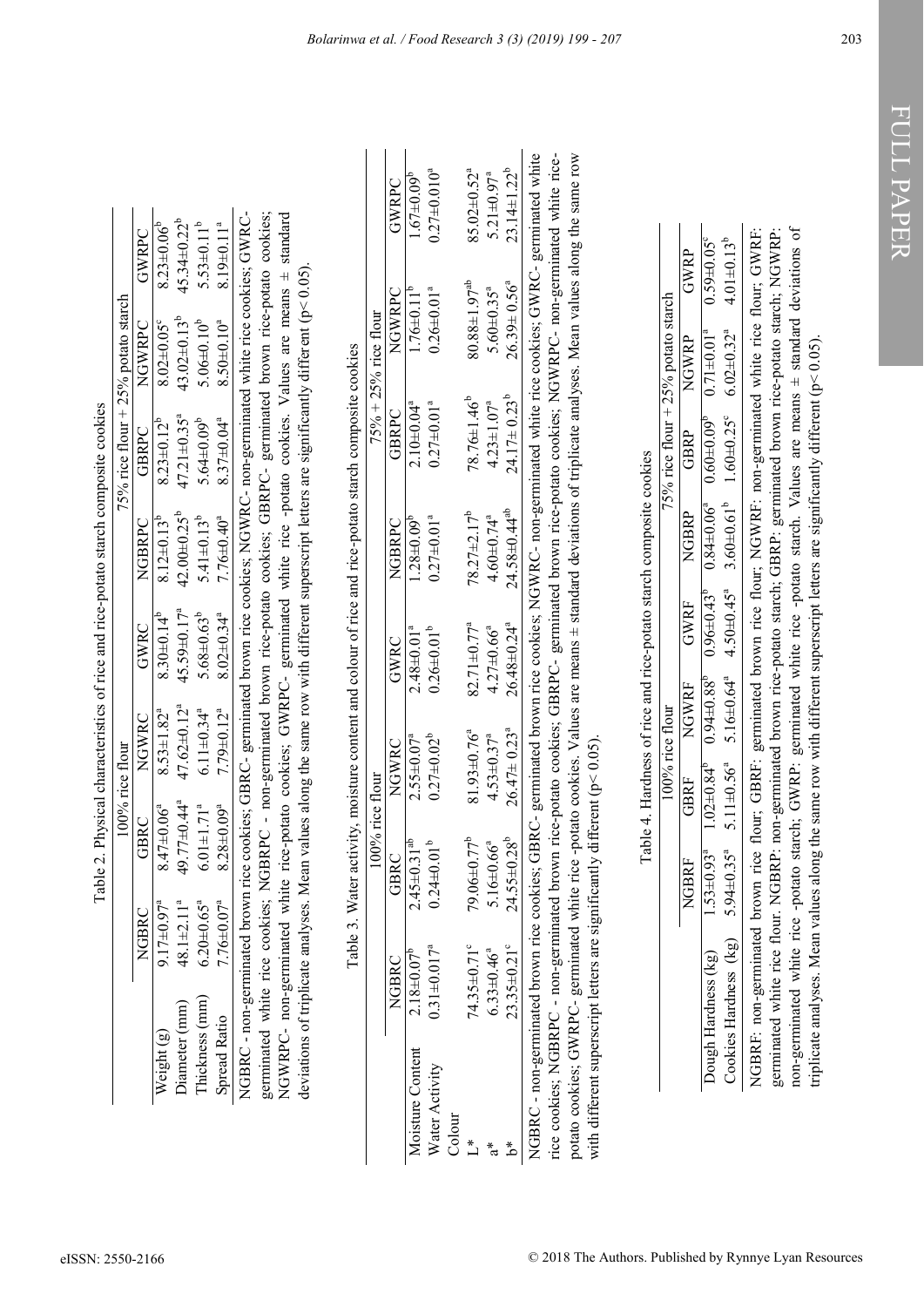|   | $\sim$ n commonte con                                                         |
|---|-------------------------------------------------------------------------------|
|   |                                                                               |
|   |                                                                               |
|   |                                                                               |
|   |                                                                               |
|   | <b>NANDA</b>                                                                  |
|   |                                                                               |
|   |                                                                               |
|   |                                                                               |
|   |                                                                               |
|   |                                                                               |
|   |                                                                               |
|   |                                                                               |
|   |                                                                               |
|   |                                                                               |
|   |                                                                               |
|   |                                                                               |
|   |                                                                               |
|   |                                                                               |
|   |                                                                               |
|   |                                                                               |
|   |                                                                               |
|   |                                                                               |
|   |                                                                               |
|   |                                                                               |
|   |                                                                               |
|   |                                                                               |
|   |                                                                               |
|   |                                                                               |
|   |                                                                               |
|   |                                                                               |
|   |                                                                               |
|   |                                                                               |
|   |                                                                               |
|   |                                                                               |
|   |                                                                               |
|   |                                                                               |
|   |                                                                               |
|   |                                                                               |
|   |                                                                               |
|   |                                                                               |
|   |                                                                               |
|   |                                                                               |
|   |                                                                               |
|   |                                                                               |
|   |                                                                               |
|   |                                                                               |
|   |                                                                               |
|   |                                                                               |
|   |                                                                               |
|   |                                                                               |
|   |                                                                               |
|   |                                                                               |
|   |                                                                               |
|   |                                                                               |
|   |                                                                               |
|   |                                                                               |
|   |                                                                               |
|   |                                                                               |
|   |                                                                               |
|   |                                                                               |
|   |                                                                               |
|   |                                                                               |
|   |                                                                               |
|   |                                                                               |
|   |                                                                               |
|   |                                                                               |
|   |                                                                               |
|   |                                                                               |
|   |                                                                               |
|   |                                                                               |
|   |                                                                               |
|   |                                                                               |
|   |                                                                               |
|   |                                                                               |
|   |                                                                               |
|   |                                                                               |
|   |                                                                               |
|   |                                                                               |
|   |                                                                               |
|   | vater activity, moisture content and colour of rice and rice-potato starch cu |
|   |                                                                               |
|   |                                                                               |
|   |                                                                               |
|   | $\sim$ . The subsequently in the second contract $\sim$                       |
|   |                                                                               |
|   |                                                                               |
| E | ;<br>;<br>;<br>è<br>I                                                         |

| germinated white rice cookies; NGBRPC - non-germinated brown rice-potato cookies; GBRPC- germinated brown rice-potato cookies;<br>NGBRC - non-germinated brown rice cookies; GBRC- germinated brown rice cookies; NGWRC- non-germinated white rice cookies; GWRC<br>deviations of triplicate analyses. Mean values along the same row with different superscript letters are significantly different (p< 0.05).<br>NGWRPC- non-germinated white rice-potato cookies; GWRPC- germinated white rice -potato cookies. Values are means ±<br>Table 3. Water activity, moisture content and colour of rice and rice-potato starch composite cookies<br>100% rice flour<br>$49.77 \pm 0.44$ <sup>a</sup><br>$8.28 \pm 0.09^a$<br>$8.47\pm0.06^{a}$<br>$6.01 \pm 1.71$ <sup>a</sup><br>GBRC<br>$24.55 \pm 0.28^b$<br>$79.06 \pm 0.77^b$<br>$2.45 \pm 0.31$ <sup>at</sup><br>$0.24 \pm 0.01^b$<br>5.16 $\pm$ 0.66 <sup>a</sup><br>GBRC<br>$7.76 \pm 0.07^a$<br>$48.1 \pm 2.11$ <sup>a</sup><br>$6.20 + 0.65$ <sup>a</sup><br>$9.17 \pm 0.97$<br>NGBRC<br>23.35±0.21°<br>$0.31 \pm 0.017$ <sup>a</sup><br>74.35±0.71°<br>$6.33 \pm 0.46^a$<br>$2.18 \pm 0.07^{\circ}$<br>NGBRC<br>Thickness (mm)<br>Diameter (mm)<br><b>Spread Ratio</b><br>Weight (g) | $47.62 \pm 0.12^a$<br>$6.11 \pm 0.34$ <sup>a</sup><br>$7.79 \pm 0.12^a$<br>$8.53 \pm 1.82^a$<br>NGWRC                   |                                              |                                                   |                                                    | 5% rice flour $+ 25%$ potato starch                                                     |                                               |
|-----------------------------------------------------------------------------------------------------------------------------------------------------------------------------------------------------------------------------------------------------------------------------------------------------------------------------------------------------------------------------------------------------------------------------------------------------------------------------------------------------------------------------------------------------------------------------------------------------------------------------------------------------------------------------------------------------------------------------------------------------------------------------------------------------------------------------------------------------------------------------------------------------------------------------------------------------------------------------------------------------------------------------------------------------------------------------------------------------------------------------------------------------------------------------------------------------------------------------------------------|-------------------------------------------------------------------------------------------------------------------------|----------------------------------------------|---------------------------------------------------|----------------------------------------------------|-----------------------------------------------------------------------------------------|-----------------------------------------------|
|                                                                                                                                                                                                                                                                                                                                                                                                                                                                                                                                                                                                                                                                                                                                                                                                                                                                                                                                                                                                                                                                                                                                                                                                                                               |                                                                                                                         | GWRC                                         | NGBRPC                                            | GBRPC                                              | NGWRPC                                                                                  | GWRPC                                         |
|                                                                                                                                                                                                                                                                                                                                                                                                                                                                                                                                                                                                                                                                                                                                                                                                                                                                                                                                                                                                                                                                                                                                                                                                                                               |                                                                                                                         | 45.59±0.17 <sup>ª</sup><br>$8.30\pm0.14^b$   | $42.00 \pm 0.25^b$<br>$8.12 \pm 0.13^b$           | $47.21 \pm 0.35$ <sup>a</sup><br>$8.23 \pm 0.12^b$ | $43.02\pm0.13^b$<br>$8.02 \pm 0.05$ °                                                   | $45.34 \pm 0.22^b$<br>$8.23 \pm 0.06^{\circ}$ |
|                                                                                                                                                                                                                                                                                                                                                                                                                                                                                                                                                                                                                                                                                                                                                                                                                                                                                                                                                                                                                                                                                                                                                                                                                                               |                                                                                                                         | $5.68 \pm 0.63^b$                            | $5.41 \pm 0.13^b$                                 | $5.64 \pm 0.09^b$                                  | $5.06 \pm 0.10^b$                                                                       | $5.53 \pm 0.11^b$                             |
|                                                                                                                                                                                                                                                                                                                                                                                                                                                                                                                                                                                                                                                                                                                                                                                                                                                                                                                                                                                                                                                                                                                                                                                                                                               |                                                                                                                         | $8.02 \pm 0.34$ <sup>a</sup>                 | $7.76 \pm 0.40^a$                                 | $8.37\pm0.04^{a}$                                  | $8.50 \pm 0.10^a$                                                                       | $8.19 \pm 0.11$ <sup>a</sup>                  |
|                                                                                                                                                                                                                                                                                                                                                                                                                                                                                                                                                                                                                                                                                                                                                                                                                                                                                                                                                                                                                                                                                                                                                                                                                                               |                                                                                                                         |                                              |                                                   |                                                    |                                                                                         |                                               |
|                                                                                                                                                                                                                                                                                                                                                                                                                                                                                                                                                                                                                                                                                                                                                                                                                                                                                                                                                                                                                                                                                                                                                                                                                                               |                                                                                                                         |                                              |                                                   |                                                    |                                                                                         | standard                                      |
| NGBRC - non-germinated brown rice cookies; GBRC- germinated brown rice cookies; NGWRC- non-germinated white rice cookies; GWRC- germinated white<br>rice cookies; NGBRPC - non-germinated brown rice-potato cookies; GBRPC- germinated brown rice-potato cookies; NGWRPC- non-germinated white rice-<br>potato cookies; GWRPC- germinated white rice -potato cookies. Values are means ± standard deviations of triplicate analyses. Mean values along the same row<br>with different superscript letters are significantly different ( $p$ < 0.05)<br>Moisture Content<br>Water Activity<br>Colour<br>$\overset{*}{\sqcup}$<br>$\frac{1}{\sigma}$<br>*م                                                                                                                                                                                                                                                                                                                                                                                                                                                                                                                                                                                      |                                                                                                                         |                                              |                                                   |                                                    |                                                                                         |                                               |
|                                                                                                                                                                                                                                                                                                                                                                                                                                                                                                                                                                                                                                                                                                                                                                                                                                                                                                                                                                                                                                                                                                                                                                                                                                               |                                                                                                                         |                                              |                                                   |                                                    | $75% + 25%$ rice flour                                                                  |                                               |
|                                                                                                                                                                                                                                                                                                                                                                                                                                                                                                                                                                                                                                                                                                                                                                                                                                                                                                                                                                                                                                                                                                                                                                                                                                               | <b>NGWRC</b>                                                                                                            | GWRC                                         | NGBRPC                                            | GBRPC                                              | NGWRPC                                                                                  | GWRPC                                         |
|                                                                                                                                                                                                                                                                                                                                                                                                                                                                                                                                                                                                                                                                                                                                                                                                                                                                                                                                                                                                                                                                                                                                                                                                                                               | $2.55 \pm 0.07^a$                                                                                                       | $2.48 \pm 0.01^{a}$                          | $1.28 \pm 0.09^b$                                 | $2.10 \pm 0.04$ <sup>a</sup>                       | $1.76 \pm 0.11^b$                                                                       | $1.67 \pm 0.09^b$                             |
|                                                                                                                                                                                                                                                                                                                                                                                                                                                                                                                                                                                                                                                                                                                                                                                                                                                                                                                                                                                                                                                                                                                                                                                                                                               | $0.27 \pm 0.02^b$                                                                                                       | $0.26 \pm 0.01^b$                            | $0.27 \pm 0.01^a$                                 | $0.27 \pm 0.01^a$                                  | $0.26 \pm 0.01$ <sup>a</sup>                                                            | $0.27 \pm 0.010^a$                            |
|                                                                                                                                                                                                                                                                                                                                                                                                                                                                                                                                                                                                                                                                                                                                                                                                                                                                                                                                                                                                                                                                                                                                                                                                                                               | 81.93±0.76 <sup>ª</sup>                                                                                                 | $82.71 \pm 0.77$ <sup>a</sup>                | $78.27 + 2.17^b$                                  | $78.76 \pm 1.46^b$                                 | $80.88 \pm 1.97^{ab}$                                                                   | $85.02 \pm 0.52$ <sup>a</sup>                 |
|                                                                                                                                                                                                                                                                                                                                                                                                                                                                                                                                                                                                                                                                                                                                                                                                                                                                                                                                                                                                                                                                                                                                                                                                                                               | $4.53 \pm 0.37^a$                                                                                                       | $4.27 \pm 0.66^a$                            | $4.60 \pm 0.74$ <sup>a</sup>                      | $4.23 \pm 1.07^a$                                  | $5.60 \pm 0.35$ <sup>a</sup>                                                            | $5.21 \pm 0.97^a$                             |
|                                                                                                                                                                                                                                                                                                                                                                                                                                                                                                                                                                                                                                                                                                                                                                                                                                                                                                                                                                                                                                                                                                                                                                                                                                               | $26.47 \pm 0.23$ <sup>a</sup>                                                                                           | $26.48 \pm 0.24$ <sup>a</sup>                | $24.58 \pm 0.44$ <sup>ab</sup>                    | $24.17 \pm 0.23^b$                                 | $26.39 \pm 0.56^a$                                                                      | $23.14 \pm 1.22^b$                            |
|                                                                                                                                                                                                                                                                                                                                                                                                                                                                                                                                                                                                                                                                                                                                                                                                                                                                                                                                                                                                                                                                                                                                                                                                                                               |                                                                                                                         |                                              |                                                   |                                                    |                                                                                         |                                               |
|                                                                                                                                                                                                                                                                                                                                                                                                                                                                                                                                                                                                                                                                                                                                                                                                                                                                                                                                                                                                                                                                                                                                                                                                                                               | Table 4. Hardness of rice and rice-potato starch composite cookies                                                      |                                              |                                                   |                                                    |                                                                                         |                                               |
|                                                                                                                                                                                                                                                                                                                                                                                                                                                                                                                                                                                                                                                                                                                                                                                                                                                                                                                                                                                                                                                                                                                                                                                                                                               | 100% rice flour                                                                                                         |                                              |                                                   |                                                    | 5% rice flour + 25% potato starch                                                       |                                               |
| NGBRF                                                                                                                                                                                                                                                                                                                                                                                                                                                                                                                                                                                                                                                                                                                                                                                                                                                                                                                                                                                                                                                                                                                                                                                                                                         | <b>ANDNE</b><br>GBRF                                                                                                    | <b>GWRF</b>                                  | NGBRP                                             | GBRP                                               | AKADN                                                                                   | GWRP                                          |
| $1.53 \pm 0.93$ <sup>a</sup><br>$5.94 \pm 0.35$ <sup>a</sup><br>Cookies Hardness (kg)<br>Dough Hardness (kg)                                                                                                                                                                                                                                                                                                                                                                                                                                                                                                                                                                                                                                                                                                                                                                                                                                                                                                                                                                                                                                                                                                                                  | $5.16 \pm 0.64$ <sup>a</sup><br>$0.94 \pm 0.88$ <sup>6</sup><br>$5.11 \pm 0.56$ <sup>a</sup><br>$1.02 \pm 0.84^{\circ}$ | $4.50 \pm 0.45^a$<br>$0.96 \pm 0.43^{\circ}$ | $3.60 \pm 0.61^b$<br>$0.84 \pm 0.06$ <sup>a</sup> | $1.60 \pm 0.25$ °<br>$0.60 \pm 0.09^{6}$           | $6.02 \pm 0.32$ <sup>a</sup><br>$0.71 \pm 0.01^a$                                       | $4.01 \pm 0.13^{b}$<br>$0.59 + 0.05^{\circ}$  |
| non-germinated white rice -potato starch; GWRP: germinated white rice -potato starch. Values are means ± standard deviations of<br>germinated white rice flour. NGBRP: non-germinated brown rice-potato starch; GBRP: germinated brown rice-potato starch; NGWRP:<br>NGBRF: non-germinated brown rice                                                                                                                                                                                                                                                                                                                                                                                                                                                                                                                                                                                                                                                                                                                                                                                                                                                                                                                                         |                                                                                                                         |                                              |                                                   |                                                    | flour; GBRF: germinated brown rice flour; NGWRF: non-germinated white rice flour; GWRF: |                                               |

|                                                                                  | č   |
|----------------------------------------------------------------------------------|-----|
| i                                                                                |     |
| ardness of rice and rice-potato starch composite cookres                         |     |
| ֖֪֧֪ׅ֧֧֧֪֪ׅ֪֧֪ׅ֧֪֧֚֚֚֚֚֚֚֚֚֚֚֚֚֚֚֚֚֚֚֡֬֝֓֡֡֡֡֡֬֝֬֝֓֝֬֓֓֬֝֓֓֝֬֝֓֓֝֓֝֬֓֝֬֝֓֬֝֬֝֓֝֬ |     |
|                                                                                  |     |
|                                                                                  |     |
|                                                                                  | ico |
| اد<br>م<br>$\frac{1}{2}$<br>$\frac{1}{1}$                                        |     |
|                                                                                  |     |

|                                                                                                                                 | 100% rice flour                                                                                                                                                                                                                |  |  | 75% rice flour $+25%$ potato starch |  |
|---------------------------------------------------------------------------------------------------------------------------------|--------------------------------------------------------------------------------------------------------------------------------------------------------------------------------------------------------------------------------|--|--|-------------------------------------|--|
|                                                                                                                                 | REARN DIE PART DE PARTIES DE VERSOON DE VERSOON DE VERSOON DE VERSOON DE VERSOON DE VERSOON DE VERSOON DE VERSOON DE VERSOON DE VERSOON DE VERSOON DE VERSOON DE VERSOON DE VERSOON DE VERSOON DE VERSOON DE VERSOON DE VERSOO |  |  |                                     |  |
| Jough Hardness (kg)                                                                                                             | $1.53 \pm 0.940.03^{4}$ $0.740.84^{4}$ $0.88^{4}$ $0.84 \pm 0.88^{4}$ $0.60 \pm 0.6040.08^{8}$ $0.60 \pm 0.6040.08^{8}$ $0.740.03^{4}$ $0.740.03^{4}$ $0.75^{4}$ $0.75^{4}$ $0.740.03^{4}$ $0.75^{4}$                          |  |  |                                     |  |
| Cookies Hardness (kg)                                                                                                           | $5.94\pm0.35^{\circ}$ $5.11\pm0.56^{\circ}$ $5.16\pm0.64^{\circ}$ $4.50\pm0.45^{\circ}$ $3.60\pm0.61^{\circ}$ $1.60\pm0.25^{\circ}$ $6.02\pm0.32^{\circ}$ $4.01\pm0.13^{\circ}$                                                |  |  |                                     |  |
| NGBRF: non-germinated brown rice flour; GBRF: germinated brown rice flour; NGWRF: non-germinated white rice flour; GWRF:        |                                                                                                                                                                                                                                |  |  |                                     |  |
| germinated white rice flour. NGBRP: non-germinated brown rice-potato starch; GBRP: germinated brown rice-potato starch; NGWRP:  |                                                                                                                                                                                                                                |  |  |                                     |  |
| oon-germinated white rice -potato starch; GWRP: germinated white rice -potato starch. Values are means ± standard deviations of |                                                                                                                                                                                                                                |  |  |                                     |  |
| riplicate analyses. Mean values along the same row with different superscript letters are significantly different ( $p<0.05$ ). |                                                                                                                                                                                                                                |  |  |                                     |  |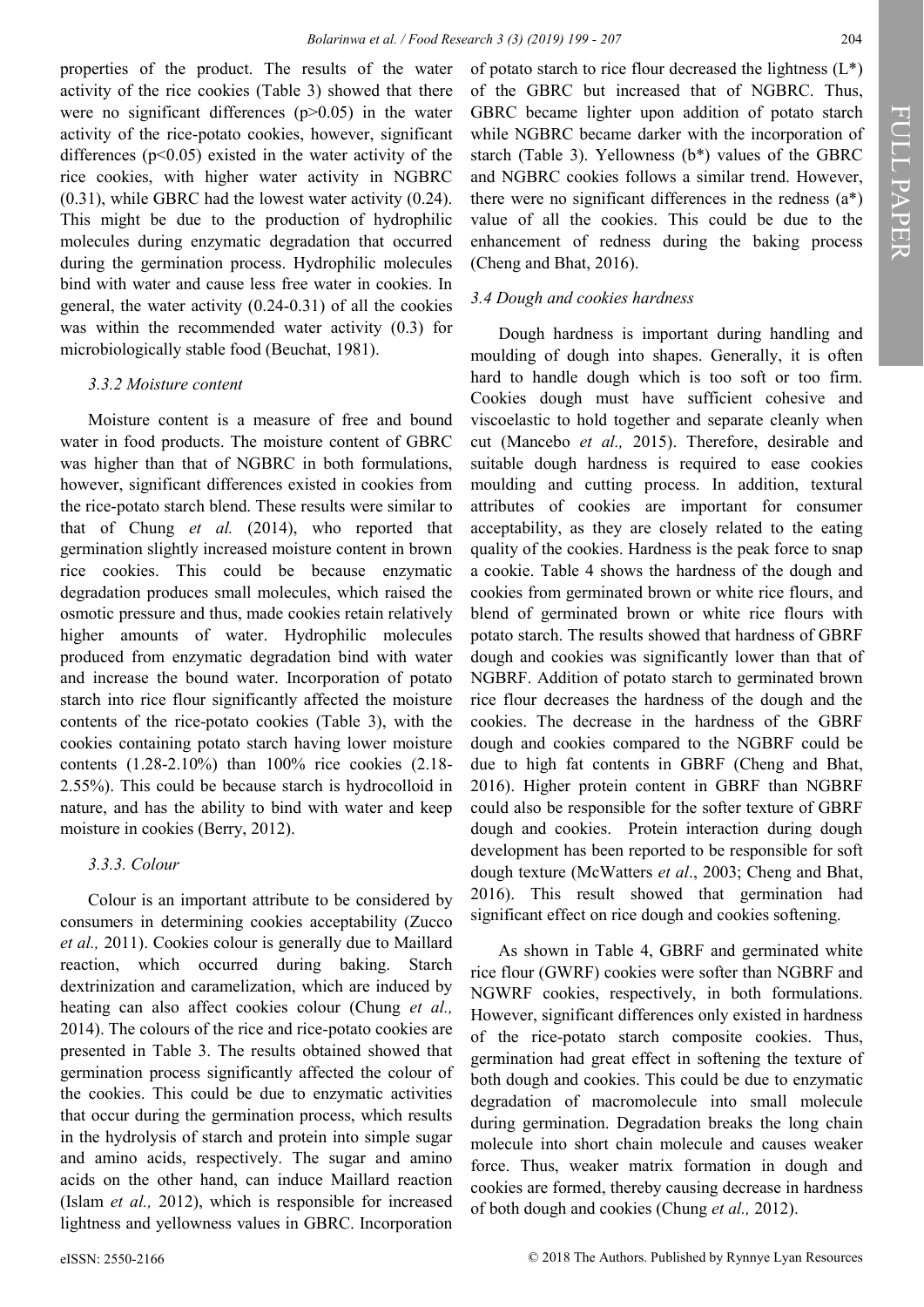properties of the product. The results of the water activity of the rice cookies (Table 3) showed that there were no significant differences  $(p>0.05)$  in the water activity of the rice-potato cookies, however, significant differences  $(p<0.05)$  existed in the water activity of the rice cookies, with higher water activity in NGBRC (0.31), while GBRC had the lowest water activity (0.24). This might be due to the production of hydrophilic molecules during enzymatic degradation that occurred during the germination process. Hydrophilic molecules bind with water and cause less free water in cookies. In general, the water activity (0.24-0.31) of all the cookies was within the recommended water activity (0.3) for microbiologically stable food (Beuchat, 1981).

#### *3.3.2 Moisture content*

Moisture content is a measure of free and bound water in food products. The moisture content of GBRC was higher than that of NGBRC in both formulations, however, significant differences existed in cookies from the rice-potato starch blend. These results were similar to that of Chung *et al.* (2014), who reported that germination slightly increased moisture content in brown rice cookies. This could be because enzymatic degradation produces small molecules, which raised the osmotic pressure and thus, made cookies retain relatively higher amounts of water. Hydrophilic molecules produced from enzymatic degradation bind with water and increase the bound water. Incorporation of potato starch into rice flour significantly affected the moisture contents of the rice-potato cookies (Table 3), with the cookies containing potato starch having lower moisture contents (1.28-2.10%) than 100% rice cookies (2.18- 2.55%). This could be because starch is hydrocolloid in nature, and has the ability to bind with water and keep moisture in cookies (Berry, 2012).

### *3.3.3. Colour*

Colour is an important attribute to be considered by consumers in determining cookies acceptability (Zucco *et al.,* 2011). Cookies colour is generally due to Maillard reaction, which occurred during baking. Starch dextrinization and caramelization, which are induced by heating can also affect cookies colour (Chung *et al.,* 2014). The colours of the rice and rice-potato cookies are presented in Table 3. The results obtained showed that germination process significantly affected the colour of the cookies. This could be due to enzymatic activities that occur during the germination process, which results in the hydrolysis of starch and protein into simple sugar and amino acids, respectively. The sugar and amino acids on the other hand, can induce Maillard reaction (Islam *et al.,* 2012), which is responsible for increased lightness and yellowness values in GBRC. Incorporation

of potato starch to rice flour decreased the lightness  $(L^*)$ of the GBRC but increased that of NGBRC. Thus, GBRC became lighter upon addition of potato starch while NGBRC became darker with the incorporation of starch (Table 3). Yellowness (b\*) values of the GBRC and NGBRC cookies follows a similar trend. However, there were no significant differences in the redness  $(a^*)$ value of all the cookies. This could be due to the enhancement of redness during the baking process (Cheng and Bhat, 2016).

### *3.4 Dough and cookies hardness*

Dough hardness is important during handling and moulding of dough into shapes. Generally, it is often hard to handle dough which is too soft or too firm. Cookies dough must have sufficient cohesive and viscoelastic to hold together and separate cleanly when cut (Mancebo *et al.,* 2015). Therefore, desirable and suitable dough hardness is required to ease cookies moulding and cutting process. In addition, textural attributes of cookies are important for consumer acceptability, as they are closely related to the eating quality of the cookies. Hardness is the peak force to snap a cookie. Table 4 shows the hardness of the dough and cookies from germinated brown or white rice flours, and blend of germinated brown or white rice flours with potato starch. The results showed that hardness of GBRF dough and cookies was significantly lower than that of NGBRF. Addition of potato starch to germinated brown rice flour decreases the hardness of the dough and the cookies. The decrease in the hardness of the GBRF dough and cookies compared to the NGBRF could be due to high fat contents in GBRF (Cheng and Bhat, 2016). Higher protein content in GBRF than NGBRF could also be responsible for the softer texture of GBRF dough and cookies. Protein interaction during dough development has been reported to be responsible for soft dough texture (McWatters *et al*., 2003; Cheng and Bhat, 2016). This result showed that germination had significant effect on rice dough and cookies softening.

As shown in Table 4, GBRF and germinated white rice flour (GWRF) cookies were softer than NGBRF and NGWRF cookies, respectively, in both formulations. However, significant differences only existed in hardness of the rice-potato starch composite cookies. Thus, germination had great effect in softening the texture of both dough and cookies. This could be due to enzymatic degradation of macromolecule into small molecule during germination. Degradation breaks the long chain molecule into short chain molecule and causes weaker force. Thus, weaker matrix formation in dough and cookies are formed, thereby causing decrease in hardness of both dough and cookies (Chung *et al.,* 2012).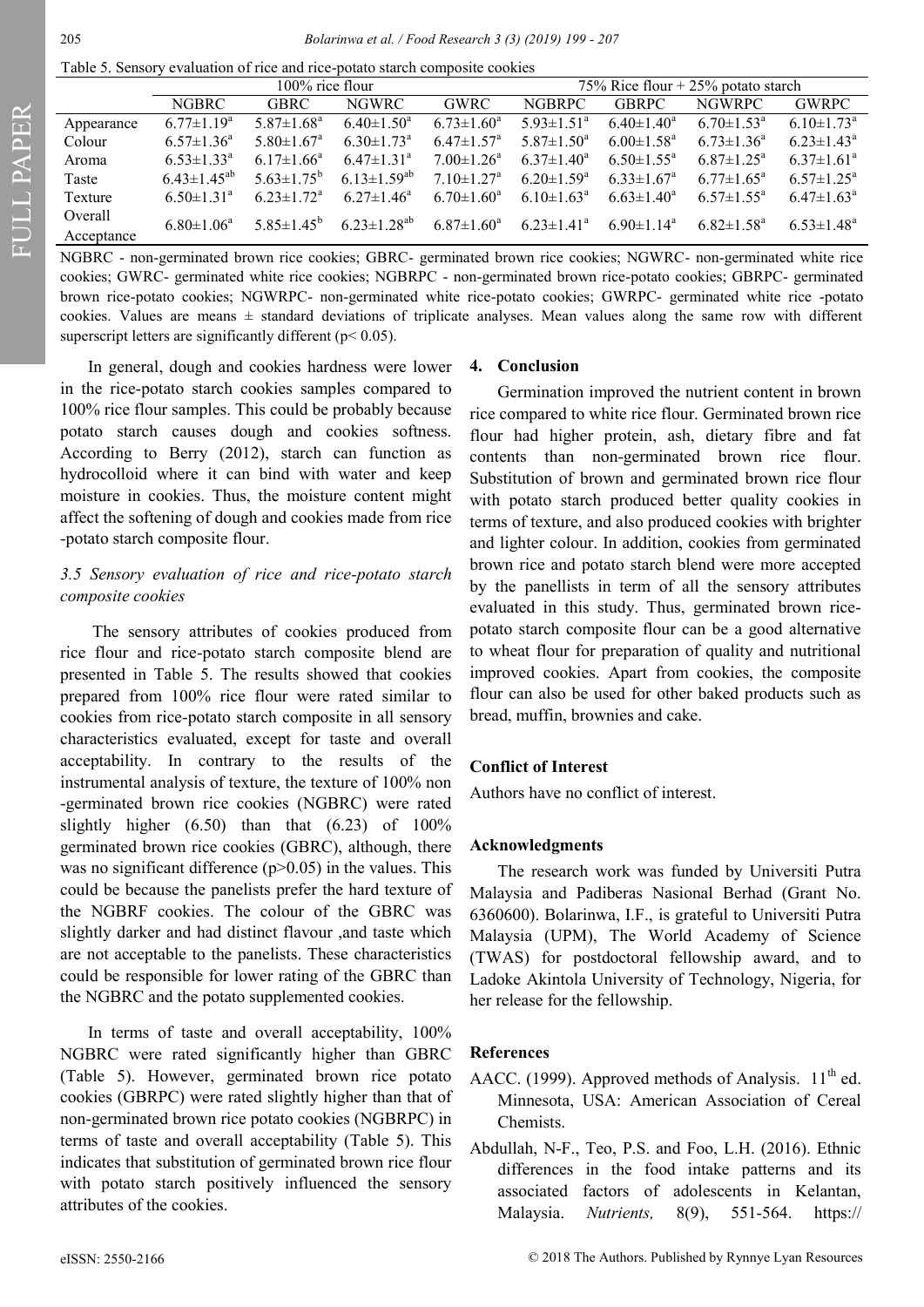FULL PAPER

Table 5. Sensory evaluation of rice and rice-potato starch composite cookies

|            |                              | $100\%$ rice flour           |                              |                              | 75% Rice flour + $25%$ potato starch |                              |                            |                              |
|------------|------------------------------|------------------------------|------------------------------|------------------------------|--------------------------------------|------------------------------|----------------------------|------------------------------|
|            |                              |                              |                              |                              |                                      |                              |                            |                              |
|            | <b>NGBRC</b>                 | <b>GBRC</b>                  | <b>NGWRC</b>                 | <b>GWRC</b>                  | <b>NGBRPC</b>                        | <b>GBRPC</b>                 | <b>NGWRPC</b>              | <b>GWRPC</b>                 |
| Appearance | $6.77 \pm 1.19^a$            | $5.87 \pm 1.68$ <sup>a</sup> | $6.40 \pm 1.50^{\circ}$      | $6.73 \pm 1.60^a$            | $5.93 \pm 1.51$ <sup>a</sup>         | $6.40 \pm 1.40^a$            | $6.70 \pm 1.53^{\circ}$    | $6.10 \pm 1.73$ <sup>a</sup> |
| Colour     | $6.57 \pm 1.36^a$            | $5.80 \pm 1.67$ <sup>a</sup> | $6.30 \pm 1.73$ <sup>a</sup> | $6.47 \pm 1.57$ <sup>a</sup> | $5.87 \pm 1.50^{\circ}$              | $6.00 \pm 1.58^{\text{a}}$   | $6.73 \pm 1.36^a$          | $6.23 \pm 1.43^a$            |
| Aroma      | $6.53 \pm 1.33^{\circ}$      | $6.17 \pm 1.66^a$            | $6.47 \pm 1.31$ <sup>a</sup> | $7.00 \pm 1.26^a$            | $6.37 \pm 1.40^a$                    | $6.50 \pm 1.55^{\circ}$      | $6.87 \pm 1.25^{\text{a}}$ | $6.37 \pm 1.61$ <sup>a</sup> |
| Taste      | $6.43 \pm 1.45^{ab}$         | $5.63 \pm 1.75^{\circ}$      | $6.13 \pm 1.59^{ab}$         | $7.10 \pm 1.27$ <sup>a</sup> | $6.20 \pm 1.59^{\circ}$              | $6.33 \pm 1.67$ <sup>a</sup> | $6.77 \pm 1.65^{\circ}$    | $6.57 \pm 1.25^{\text{a}}$   |
| Texture    | $6.50 \pm 1.31$ <sup>a</sup> | $6.23 \pm 1.72^a$            | $6.27 \pm 1.46^a$            | $6.70 \pm 1.60^a$            | $6.10 \pm 1.63^{\circ}$              | $6.63 \pm 1.40^a$            | $6.57 \pm 1.55^{\text{a}}$ | $6.47 \pm 1.63^{\text{a}}$   |
| Overall    | $6.80 \pm 1.06^a$            | $5.85 \pm 1.45^{\rm b}$      | $6.23 \pm 1.28^{ab}$         | $6.87 \pm 1.60^a$            | $6.23 \pm 1.41^a$                    | $6.90 \pm 1.14$ <sup>a</sup> | $6.82 \pm 1.58^a$          | $6.53 \pm 1.48^a$            |
| Acceptance |                              |                              |                              |                              |                                      |                              |                            |                              |

NGBRC - non-germinated brown rice cookies; GBRC- germinated brown rice cookies; NGWRC- non-germinated white rice cookies; GWRC- germinated white rice cookies; NGBRPC - non-germinated brown rice-potato cookies; GBRPC- germinated brown rice-potato cookies; NGWRPC- non-germinated white rice-potato cookies; GWRPC- germinated white rice -potato cookies. Values are means  $\pm$  standard deviations of triplicate analyses. Mean values along the same row with different superscript letters are significantly different ( $p$  < 0.05).

In general, dough and cookies hardness were lower in the rice-potato starch cookies samples compared to 100% rice flour samples. This could be probably because potato starch causes dough and cookies softness. According to Berry (2012), starch can function as hydrocolloid where it can bind with water and keep moisture in cookies. Thus, the moisture content might affect the softening of dough and cookies made from rice -potato starch composite flour.

## *3.5 Sensory evaluation of rice and rice-potato starch composite cookies*

The sensory attributes of cookies produced from rice flour and rice-potato starch composite blend are presented in Table 5. The results showed that cookies prepared from 100% rice flour were rated similar to cookies from rice-potato starch composite in all sensory characteristics evaluated, except for taste and overall acceptability. In contrary to the results of the instrumental analysis of texture, the texture of 100% non -germinated brown rice cookies (NGBRC) were rated slightly higher  $(6.50)$  than that  $(6.23)$  of  $100\%$ germinated brown rice cookies (GBRC), although, there was no significant difference  $(p>0.05)$  in the values. This could be because the panelists prefer the hard texture of the NGBRF cookies. The colour of the GBRC was slightly darker and had distinct flavour ,and taste which are not acceptable to the panelists. These characteristics could be responsible for lower rating of the GBRC than the NGBRC and the potato supplemented cookies.

In terms of taste and overall acceptability, 100% NGBRC were rated significantly higher than GBRC (Table 5). However, germinated brown rice potato cookies (GBRPC) were rated slightly higher than that of non-germinated brown rice potato cookies (NGBRPC) in terms of taste and overall acceptability (Table 5). This indicates that substitution of germinated brown rice flour with potato starch positively influenced the sensory attributes of the cookies.

### **4. Conclusion**

Germination improved the nutrient content in brown rice compared to white rice flour. Germinated brown rice flour had higher protein, ash, dietary fibre and fat contents than non-germinated brown rice flour. Substitution of brown and germinated brown rice flour with potato starch produced better quality cookies in terms of texture, and also produced cookies with brighter and lighter colour. In addition, cookies from germinated brown rice and potato starch blend were more accepted by the panellists in term of all the sensory attributes evaluated in this study. Thus, germinated brown ricepotato starch composite flour can be a good alternative to wheat flour for preparation of quality and nutritional improved cookies. Apart from cookies, the composite flour can also be used for other baked products such as bread, muffin, brownies and cake.

## **Conflict of Interest**

Authors have no conflict of interest.

## **Acknowledgments**

The research work was funded by Universiti Putra Malaysia and Padiberas Nasional Berhad (Grant No. 6360600). Bolarinwa, I.F., is grateful to Universiti Putra Malaysia (UPM), The World Academy of Science (TWAS) for postdoctoral fellowship award, and to Ladoke Akintola University of Technology, Nigeria, for her release for the fellowship.

## **References**

- AACC. (1999). Approved methods of Analysis.  $11<sup>th</sup>$  ed. Minnesota, USA: American Association of Cereal Chemists.
- Abdullah, N-F., Teo, P.S. and Foo, L.H. (2016). Ethnic differences in the food intake patterns and its associated factors of adolescents in Kelantan, Malaysia. *Nutrients,* 8(9), 551-564. [https://](https://doi.org/10.3390/nu8090551)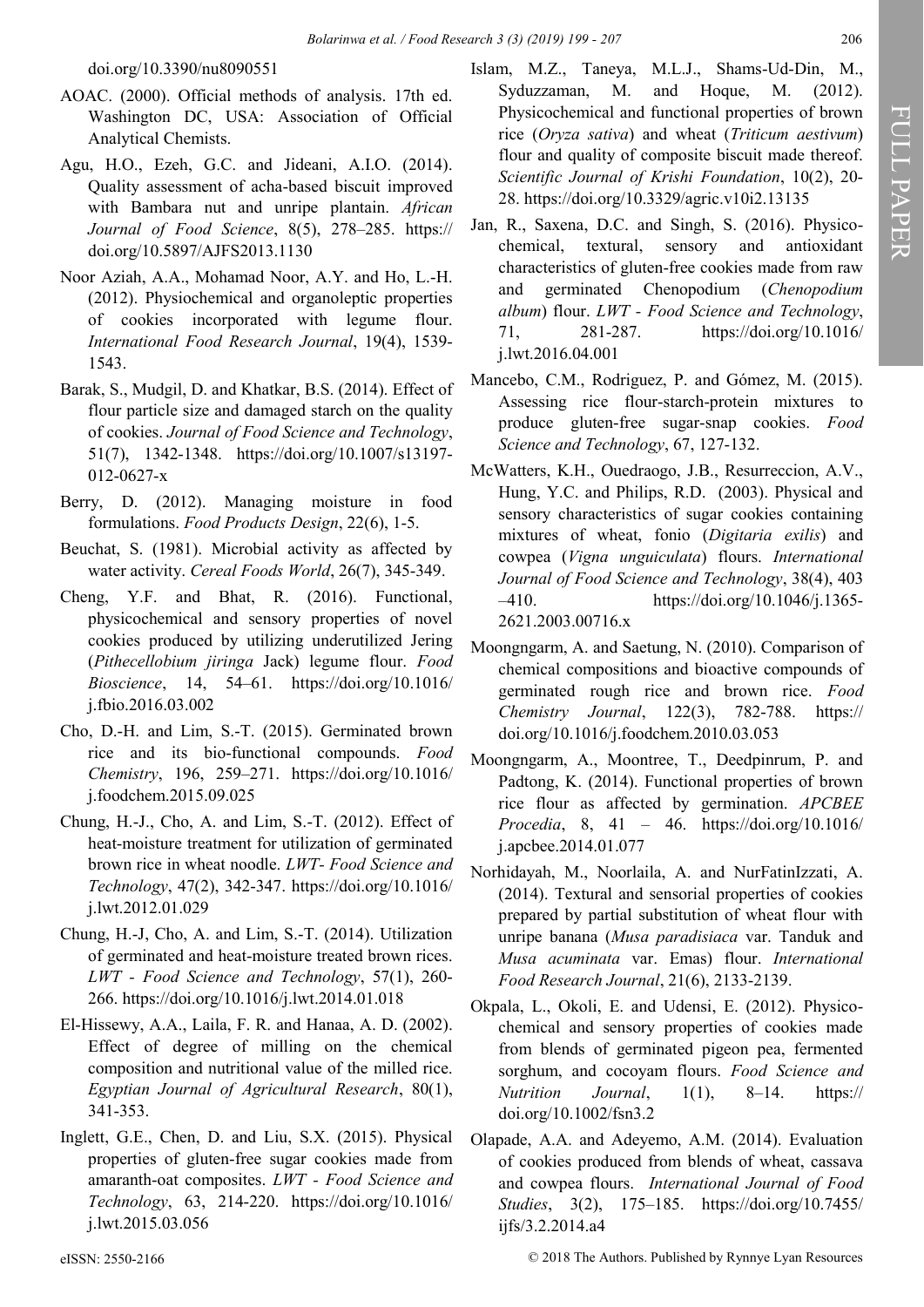[doi.org/10.3390/nu8090551](https://doi.org/10.3390/nu8090551)

- AOAC. (2000). Official methods of analysis. 17th ed. Washington DC, USA: Association of Official Analytical Chemists.
- Agu, H.O., Ezeh, G.C. and Jideani, A.I.O. (2014). Quality assessment of acha-based biscuit improved with Bambara nut and unripe plantain. *African Journal of Food Science*, 8(5), 278–285. [https://](https://doi.org/10.5897/AJFS2013.1130) [doi.org/10.5897/AJFS2013.1130](https://doi.org/10.5897/AJFS2013.1130)
- Noor Aziah, A.A., Mohamad Noor, A.Y. and Ho, L.-H. (2012). Physiochemical and organoleptic properties of cookies incorporated with legume flour. *International Food Research Journal*, 19(4), 1539- 1543.
- Barak, S., [Mudgil,](https://www.researchgate.net/profile/Deepak_Mudgil) D. and [Khatkar,](https://www.researchgate.net/profile/Bhupendar_Khatkar2) B.S. (2014). Effect of flour particle size and damaged starch on the quality of cookies. *Journal of Food Science and Technology*, 51(7), 1342-1348. [https://doi.org/10.1007/s13197](https://doi.org/10.1007/s13197-012-0627-x)- 012-[0627](https://doi.org/10.1007/s13197-012-0627-x)-x
- Berry, D. (2012). Managing moisture in food formulations. *Food Products Design*, 22(6), 1-5.
- Beuchat, S. (1981). Microbial activity as affected by water activity. *Cereal Foods World*, 26(7), 345-349.
- Cheng, Y.F. and Bhat, R. (2016). Functional, physicochemical and sensory properties of novel cookies produced by utilizing underutilized Jering (*Pithecellobium jiringa* Jack) legume flour. *Food Bioscience*, 14, 54–61. [https://doi.org/10.1016/](https://doi.org/10.1016/j.fbio.2016.03.002) [j.fbio.2016.03.002](https://doi.org/10.1016/j.fbio.2016.03.002)
- Cho, D.-H. and Lim, S.-T. (2015). Germinated brown rice and its bio-functional compounds. *Food Chemistry*, 196, 259–271. [https://doi.org/10.1016/](https://doi.org/10.1016/j.foodchem.2015.09.025) [j.foodchem.2015.09.025](https://doi.org/10.1016/j.foodchem.2015.09.025)
- Chung, H.-J., Cho, A. and Lim, S.-T. (2012). Effect of heat-moisture treatment for utilization of germinated brown rice in wheat noodle. *LWT- Food Science and Technology*, 47(2), 342-347. [https://doi.org/10.1016/](https://doi.org/10.1016/j.lwt.2012.01.029) [j.lwt.2012.01.029](https://doi.org/10.1016/j.lwt.2012.01.029)
- Chung, H.-J, Cho, A. and Lim, S.-T. (2014). Utilization of germinated and heat-moisture treated brown rices. *LWT - Food Science and Technology*, 57(1), 260- 266. <https://doi.org/10.1016/j.lwt.2014.01.018>
- El-Hissewy, A.A., Laila, F. R. and Hanaa, A. D. (2002). Effect of degree of milling on the chemical composition and nutritional value of the milled rice. *Egyptian Journal of Agricultural Research*, 80(1), 341-353.
- Inglett, G.E., Chen, D. and Liu, S.X. (2015). Physical properties of gluten-free sugar cookies made from amaranth-oat composites. *LWT - Food Science and Technology*, 63, 214-220. [https://doi.org/10.1016/](https://doi.org/10.1016/j.lwt.2015.03.056) [j.lwt.2015.03.056](https://doi.org/10.1016/j.lwt.2015.03.056)
- Islam, M.Z., Taneya, M.L.J., Shams-Ud-Din, M., Syduzzaman, M. and Hoque, M. (2012). Physicochemical and functional properties of brown rice (*Oryza sativa*) and wheat (*Triticum aestivum*) flour and quality of composite biscuit made thereof. *Scientific Journal of Krishi Foundation*, 10(2), 20- 28. <https://doi.org/10.3329/agric.v10i2.13135>
- Jan, R., Saxena, D.C. and Singh, S. (2016). Physicochemical, textural, sensory and antioxidant characteristics of gluten-free cookies made from raw and germinated Chenopodium (*Chenopodium album*) flour. *LWT - Food Science and Technology*, 71, 281-287. [https://doi.org/10.1016/](https://doi.org/10.1016/j.lwt.2016.04.001) [j.lwt.2016.04.001](https://doi.org/10.1016/j.lwt.2016.04.001)
- Mancebo, C.M., Rodriguez, P. and Gómez, M. (2015). Assessing rice flour-starch-protein mixtures to produce gluten-free sugar-snap cookies. *Food Science and Technology*, 67, 127-132.
- McWatters, K.H., Ouedraogo, J.B., Resurreccion, A.V., Hung, Y.C. and Philips, R.D. (2003). Physical and sensory characteristics of sugar cookies containing mixtures of wheat, fonio (*Digitaria exilis*) and cowpea (*Vigna unguiculata*) flours. *International Journal of Food Science and Technology*, 38(4), 403 –410. [https://doi.org/10.1046/j.1365](https://doi.org/10.1046/j.1365-2621.2003.00716.x)- [2621.2003.00716.x](https://doi.org/10.1046/j.1365-2621.2003.00716.x)
- Moongngarm, A. and Saetung, N. (2010). Comparison of chemical compositions and bioactive compounds of germinated rough rice and brown rice. *Food Chemistry Journal*, 122(3), 782-788. [https://](https://doi.org/10.1016/j.foodchem.2010.03.053) [doi.org/10.1016/j.foodchem.2010.03.053](https://doi.org/10.1016/j.foodchem.2010.03.053)
- Moongngarm, A., Moontree, T., Deedpinrum, P. and Padtong, K. (2014). Functional properties of brown rice flour as affected by germination. *APCBEE Procedia*, 8, 41 – 46. [https://doi.org/10.1016/](https://doi.org/10.1016/j.apcbee.2014.01.077) [j.apcbee.2014.01.077](https://doi.org/10.1016/j.apcbee.2014.01.077)
- Norhidayah, M., Noorlaila, A. and NurFatinIzzati, A. (2014). Textural and sensorial properties of cookies prepared by partial substitution of wheat flour with unripe banana (*Musa paradisiaca* var. Tanduk and *Musa acuminata* var. Emas) flour. *International Food Research Journal*, 21(6), 2133-2139.
- Okpala, L., Okoli, E. and Udensi, E. (2012). Physicochemical and sensory properties of cookies made from blends of germinated pigeon pea, fermented sorghum, and cocoyam flours. *Food Science and Nutrition Journal*, 1(1), 8–14. [https://](https://doi.org/10.1002/fsn3.2) [doi.org/10.1002/fsn3.2](https://doi.org/10.1002/fsn3.2)
- Olapade, A.A. and Adeyemo, A.M. (2014). Evaluation of cookies produced from blends of wheat, cassava and cowpea flours. *International Journal of Food Studies*, 3(2), 175–185. [https://doi.org/10.7455/](https://doi.org/10.7455/ijfs/3.2.2014.a4) [ijfs/3.2.2014.a4](https://doi.org/10.7455/ijfs/3.2.2014.a4)